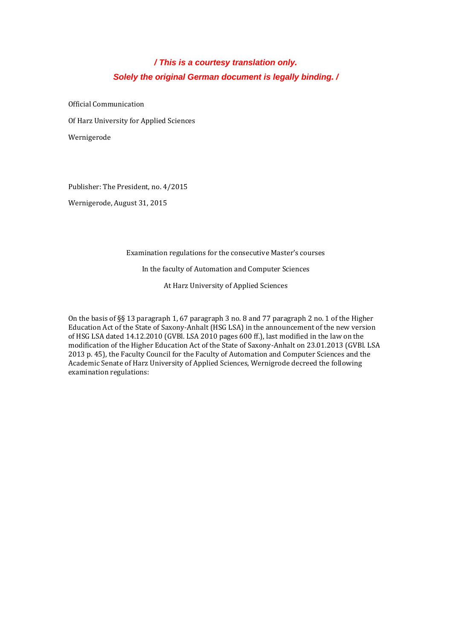# */ This is a courtesy translation only. Solely the original German document is legally binding. /*

Official Communication Of Harz University for Applied Sciences Wernigerode

Publisher: The President, no. 4/2015

Wernigerode, August 31, 2015

Examination regulations for the consecutive Master's courses

In the faculty of Automation and Computer Sciences

At Harz University of Applied Sciences

On the basis of §§ 13 paragraph 1, 67 paragraph 3 no. 8 and 77 paragraph 2 no. 1 of the Higher Education Act of the State of Saxony-Anhalt (HSG LSA) in the announcement of the new version of HSG LSA dated 14.12.2010 (GVBl. LSA 2010 pages 600 ff.), last modified in the law on the modification of the Higher Education Act of the State of Saxony-Anhalt on 23.01.2013 (GVBl. LSA 2013 p. 45), the Faculty Council for the Faculty of Automation and Computer Sciences and the Academic Senate of Harz University of Applied Sciences, Wernigrode decreed the following examination regulations: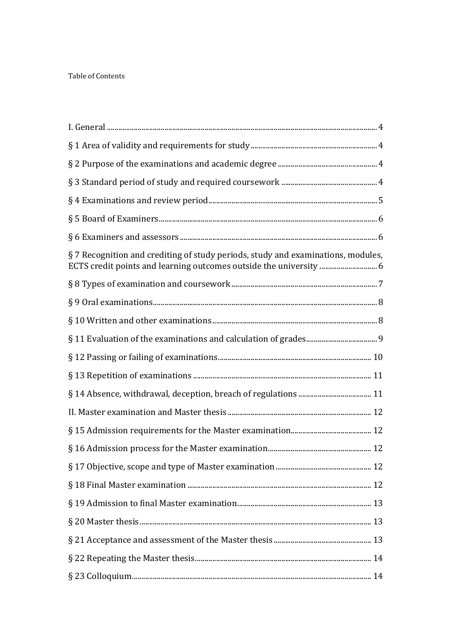## Table of Contents

| §7 Recognition and crediting of study periods, study and examinations, modules,<br>ECTS credit points and learning outcomes outside the university  6 |
|-------------------------------------------------------------------------------------------------------------------------------------------------------|
|                                                                                                                                                       |
|                                                                                                                                                       |
|                                                                                                                                                       |
|                                                                                                                                                       |
|                                                                                                                                                       |
|                                                                                                                                                       |
|                                                                                                                                                       |
|                                                                                                                                                       |
|                                                                                                                                                       |
|                                                                                                                                                       |
|                                                                                                                                                       |
|                                                                                                                                                       |
|                                                                                                                                                       |
|                                                                                                                                                       |
|                                                                                                                                                       |
|                                                                                                                                                       |
|                                                                                                                                                       |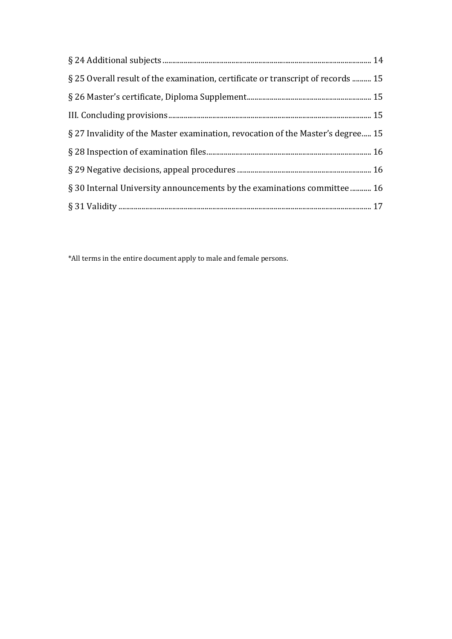| § 25 Overall result of the examination, certificate or transcript of records  15 |
|----------------------------------------------------------------------------------|
|                                                                                  |
|                                                                                  |
| § 27 Invalidity of the Master examination, revocation of the Master's degree 15  |
|                                                                                  |
|                                                                                  |
| § 30 Internal University announcements by the examinations committee  16         |
|                                                                                  |

\*All terms in the entire document apply to male and female persons.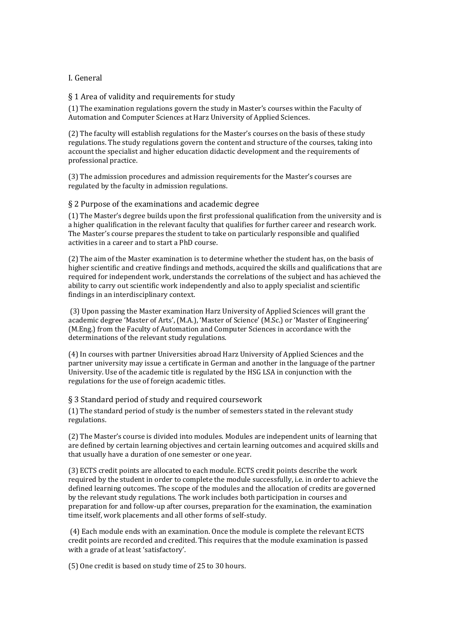## <span id="page-3-0"></span>I. General

<span id="page-3-1"></span>§ 1 Area of validity and requirements for study

(1) The examination regulations govern the study in Master's courses within the Faculty of Automation and Computer Sciences at Harz University of Applied Sciences.

(2) The faculty will establish regulations for the Master's courses on the basis of these study regulations. The study regulations govern the content and structure of the courses, taking into account the specialist and higher education didactic development and the requirements of professional practice.

(3) The admission procedures and admission requirements for the Master's courses are regulated by the faculty in admission regulations.

## <span id="page-3-2"></span>§ 2 Purpose of the examinations and academic degree

(1) The Master's degree builds upon the first professional qualification from the university and is a higher qualification in the relevant faculty that qualifies for further career and research work. The Master's course prepares the student to take on particularly responsible and qualified activities in a career and to start a PhD course.

(2) The aim of the Master examination is to determine whether the student has, on the basis of higher scientific and creative findings and methods, acquired the skills and qualifications that are required for independent work, understands the correlations of the subject and has achieved the ability to carry out scientific work independently and also to apply specialist and scientific findings in an interdisciplinary context.

(3) Upon passing the Master examination Harz University of Applied Sciences will grant the academic degree 'Master of Arts', (M.A.), 'Master of Science' (M.Sc.) or 'Master of Engineering' (M.Eng.) from the Faculty of Automation and Computer Sciences in accordance with the determinations of the relevant study regulations.

(4) In courses with partner Universities abroad Harz University of Applied Sciences and the partner university may issue a certificate in German and another in the language of the partner University. Use of the academic title is regulated by the HSG LSA in conjunction with the regulations for the use of foreign academic titles.

<span id="page-3-3"></span>§ 3 Standard period of study and required coursework

(1) The standard period of study is the number of semesters stated in the relevant study regulations.

(2) The Master's course is divided into modules. Modules are independent units of learning that are defined by certain learning objectives and certain learning outcomes and acquired skills and that usually have a duration of one semester or one year.

(3) ECTS credit points are allocated to each module. ECTS credit points describe the work required by the student in order to complete the module successfully, i.e. in order to achieve the defined learning outcomes. The scope of the modules and the allocation of credits are governed by the relevant study regulations. The work includes both participation in courses and preparation for and follow-up after courses, preparation for the examination, the examination time itself, work placements and all other forms of self-study.

(4) Each module ends with an examination. Once the module is complete the relevant ECTS credit points are recorded and credited. This requires that the module examination is passed with a grade of at least 'satisfactory'.

(5) One credit is based on study time of 25 to 30 hours.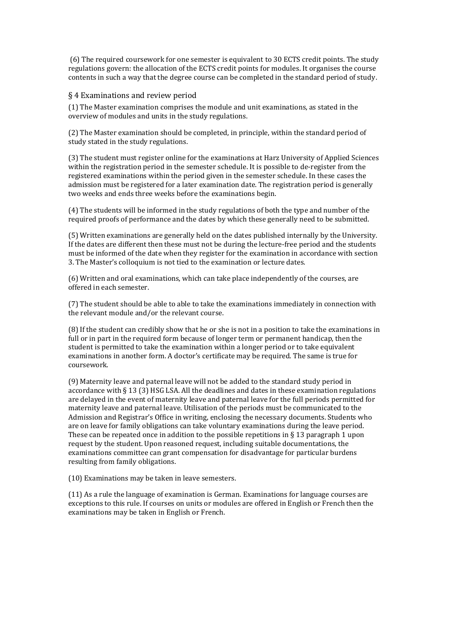(6) The required coursework for one semester is equivalent to 30 ECTS credit points. The study regulations govern: the allocation of the ECTS credit points for modules. It organises the course contents in such a way that the degree course can be completed in the standard period of study.

## <span id="page-4-0"></span>§ 4 Examinations and review period

(1) The Master examination comprises the module and unit examinations, as stated in the overview of modules and units in the study regulations.

(2) The Master examination should be completed, in principle, within the standard period of study stated in the study regulations.

(3) The student must register online for the examinations at Harz University of Applied Sciences within the registration period in the semester schedule. It is possible to de-register from the registered examinations within the period given in the semester schedule. In these cases the admission must be registered for a later examination date. The registration period is generally two weeks and ends three weeks before the examinations begin.

(4) The students will be informed in the study regulations of both the type and number of the required proofs of performance and the dates by which these generally need to be submitted.

(5) Written examinations are generally held on the dates published internally by the University. If the dates are different then these must not be during the lecture-free period and the students must be informed of the date when they register for the examination in accordance with section 3. The Master's colloquium is not tied to the examination or lecture dates.

(6) Written and oral examinations, which can take place independently of the courses, are offered in each semester.

(7) The student should be able to able to take the examinations immediately in connection with the relevant module and/or the relevant course.

(8) If the student can credibly show that he or she is not in a position to take the examinations in full or in part in the required form because of longer term or permanent handicap, then the student is permitted to take the examination within a longer period or to take equivalent examinations in another form. A doctor's certificate may be required. The same is true for coursework.

(9) Maternity leave and paternal leave will not be added to the standard study period in accordance with § 13 (3) HSG LSA. All the deadlines and dates in these examination regulations are delayed in the event of maternity leave and paternal leave for the full periods permitted for maternity leave and paternal leave. Utilisation of the periods must be communicated to the Admission and Registrar's Office in writing, enclosing the necessary documents. Students who are on leave for family obligations can take voluntary examinations during the leave period. These can be repeated once in addition to the possible repetitions in  $\S$  13 paragraph 1 upon request by the student. Upon reasoned request, including suitable documentations, the examinations committee can grant compensation for disadvantage for particular burdens resulting from family obligations.

(10) Examinations may be taken in leave semesters.

(11) As a rule the language of examination is German. Examinations for language courses are exceptions to this rule. If courses on units or modules are offered in English or French then the examinations may be taken in English or French.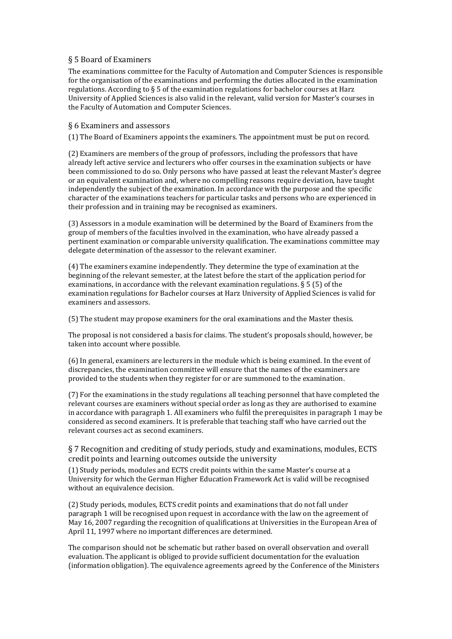## <span id="page-5-0"></span>§ 5 Board of Examiners

The examinations committee for the Faculty of Automation and Computer Sciences is responsible for the organisation of the examinations and performing the duties allocated in the examination regulations. According to  $\S$  5 of the examination regulations for bachelor courses at Harz University of Applied Sciences is also valid in the relevant, valid version for Master's courses in the Faculty of Automation and Computer Sciences.

## <span id="page-5-1"></span>§ 6 Examiners and assessors

(1) The Board of Examiners appoints the examiners. The appointment must be put on record.

(2) Examiners are members of the group of professors, including the professors that have already left active service and lecturers who offer courses in the examination subjects or have been commissioned to do so. Only persons who have passed at least the relevant Master's degree or an equivalent examination and, where no compelling reasons require deviation, have taught independently the subject of the examination. In accordance with the purpose and the specific character of the examinations teachers for particular tasks and persons who are experienced in their profession and in training may be recognised as examiners.

(3) Assessors in a module examination will be determined by the Board of Examiners from the group of members of the faculties involved in the examination, who have already passed a pertinent examination or comparable university qualification. The examinations committee may delegate determination of the assessor to the relevant examiner.

(4) The examiners examine independently. They determine the type of examination at the beginning of the relevant semester, at the latest before the start of the application period for examinations, in accordance with the relevant examination regulations. § 5 (5) of the examination regulations for Bachelor courses at Harz University of Applied Sciences is valid for examiners and assessors.

(5) The student may propose examiners for the oral examinations and the Master thesis.

The proposal is not considered a basis for claims. The student's proposals should, however, be taken into account where possible.

(6) In general, examiners are lecturers in the module which is being examined. In the event of discrepancies, the examination committee will ensure that the names of the examiners are provided to the students when they register for or are summoned to the examination.

(7) For the examinations in the study regulations all teaching personnel that have completed the relevant courses are examiners without special order as long as they are authorised to examine in accordance with paragraph 1. All examiners who fulfil the prerequisites in paragraph 1 may be considered as second examiners. It is preferable that teaching staff who have carried out the relevant courses act as second examiners.

<span id="page-5-2"></span>§ 7 Recognition and crediting of study periods, study and examinations, modules, ECTS credit points and learning outcomes outside the university

(1) Study periods, modules and ECTS credit points within the same Master's course at a University for which the German Higher Education Framework Act is valid will be recognised without an equivalence decision.

(2) Study periods, modules, ECTS credit points and examinations that do not fall under paragraph 1 will be recognised upon request in accordance with the law on the agreement of May 16, 2007 regarding the recognition of qualifications at Universities in the European Area of April 11, 1997 where no important differences are determined.

The comparison should not be schematic but rather based on overall observation and overall evaluation. The applicant is obliged to provide sufficient documentation for the evaluation (information obligation). The equivalence agreements agreed by the Conference of the Ministers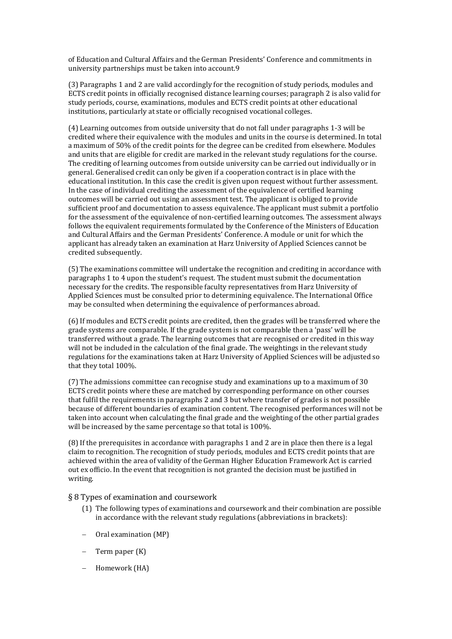of Education and Cultural Affairs and the German Presidents' Conference and commitments in university partnerships must be taken into account.9

(3) Paragraphs 1 and 2 are valid accordingly for the recognition of study periods, modules and ECTS credit points in officially recognised distance learning courses; paragraph 2 is also valid for study periods, course, examinations, modules and ECTS credit points at other educational institutions, particularly at state or officially recognised vocational colleges.

(4) Learning outcomes from outside university that do not fall under paragraphs 1-3 will be credited where their equivalence with the modules and units in the course is determined. In total a maximum of 50% of the credit points for the degree can be credited from elsewhere. Modules and units that are eligible for credit are marked in the relevant study regulations for the course. The crediting of learning outcomes from outside university can be carried out individually or in general. Generalised credit can only be given if a cooperation contract is in place with the educational institution. In this case the credit is given upon request without further assessment. In the case of individual crediting the assessment of the equivalence of certified learning outcomes will be carried out using an assessment test. The applicant is obliged to provide sufficient proof and documentation to assess equivalence. The applicant must submit a portfolio for the assessment of the equivalence of non-certified learning outcomes. The assessment always follows the equivalent requirements formulated by the Conference of the Ministers of Education and Cultural Affairs and the German Presidents' Conference. A module or unit for which the applicant has already taken an examination at Harz University of Applied Sciences cannot be credited subsequently.

(5) The examinations committee will undertake the recognition and crediting in accordance with paragraphs 1 to 4 upon the student's request. The student must submit the documentation necessary for the credits. The responsible faculty representatives from Harz University of Applied Sciences must be consulted prior to determining equivalence. The International Office may be consulted when determining the equivalence of performances abroad.

(6) If modules and ECTS credit points are credited, then the grades will be transferred where the grade systems are comparable. If the grade system is not comparable then a 'pass' will be transferred without a grade. The learning outcomes that are recognised or credited in this way will not be included in the calculation of the final grade. The weightings in the relevant study regulations for the examinations taken at Harz University of Applied Sciences will be adjusted so that they total 100%.

(7) The admissions committee can recognise study and examinations up to a maximum of 30 ECTS credit points where these are matched by corresponding performance on other courses that fulfil the requirements in paragraphs 2 and 3 but where transfer of grades is not possible because of different boundaries of examination content. The recognised performances will not be taken into account when calculating the final grade and the weighting of the other partial grades will be increased by the same percentage so that total is 100%.

(8) If the prerequisites in accordance with paragraphs 1 and 2 are in place then there is a legal claim to recognition. The recognition of study periods, modules and ECTS credit points that are achieved within the area of validity of the German Higher Education Framework Act is carried out ex officio. In the event that recognition is not granted the decision must be justified in writing.

<span id="page-6-0"></span>§ 8 Types of examination and coursework

- (1) The following types of examinations and coursework and their combination are possible in accordance with the relevant study regulations (abbreviations in brackets):
- Oral examination (MP)
- Term paper (K)
- Homework (HA)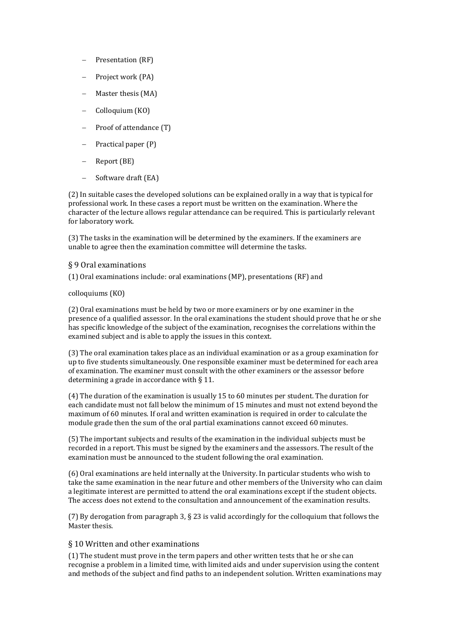- Presentation (RF)
- Project work (PA)
- Master thesis (MA)
- Colloquium (KO)
- Proof of attendance (T)
- Practical paper (P)
- Report (BE)
- Software draft (EA)

(2) In suitable cases the developed solutions can be explained orally in a way that is typical for professional work. In these cases a report must be written on the examination. Where the character of the lecture allows regular attendance can be required. This is particularly relevant for laboratory work.

(3) The tasks in the examination will be determined by the examiners. If the examiners are unable to agree then the examination committee will determine the tasks.

## <span id="page-7-0"></span>§ 9 Oral examinations

(1) Oral examinations include: oral examinations (MP), presentations (RF) and

## colloquiums (KO)

(2) Oral examinations must be held by two or more examiners or by one examiner in the presence of a qualified assessor. In the oral examinations the student should prove that he or she has specific knowledge of the subject of the examination, recognises the correlations within the examined subject and is able to apply the issues in this context.

(3) The oral examination takes place as an individual examination or as a group examination for up to five students simultaneously. One responsible examiner must be determined for each area of examination. The examiner must consult with the other examiners or the assessor before determining a grade in accordance with § 11.

(4) The duration of the examination is usually 15 to 60 minutes per student. The duration for each candidate must not fall below the minimum of 15 minutes and must not extend beyond the maximum of 60 minutes. If oral and written examination is required in order to calculate the module grade then the sum of the oral partial examinations cannot exceed 60 minutes.

(5) The important subjects and results of the examination in the individual subjects must be recorded in a report. This must be signed by the examiners and the assessors. The result of the examination must be announced to the student following the oral examination.

(6) Oral examinations are held internally at the University. In particular students who wish to take the same examination in the near future and other members of the University who can claim a legitimate interest are permitted to attend the oral examinations except if the student objects. The access does not extend to the consultation and announcement of the examination results.

(7) By derogation from paragraph 3, § 23 is valid accordingly for the colloquium that follows the Master thesis.

## <span id="page-7-1"></span>§ 10 Written and other examinations

(1) The student must prove in the term papers and other written tests that he or she can recognise a problem in a limited time, with limited aids and under supervision using the content and methods of the subject and find paths to an independent solution. Written examinations may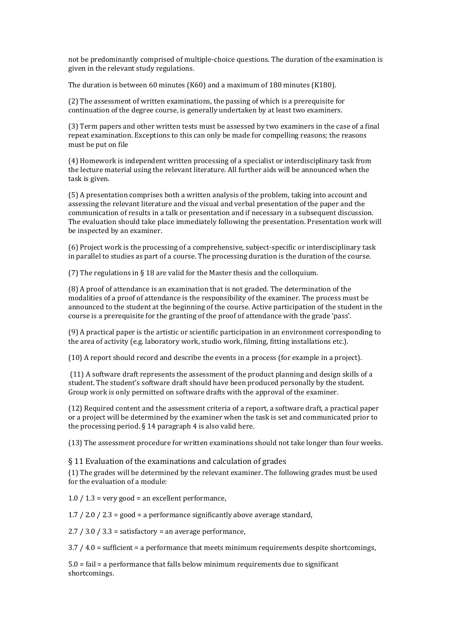not be predominantly comprised of multiple-choice questions. The duration of the examination is given in the relevant study regulations.

The duration is between 60 minutes (K60) and a maximum of 180 minutes (K180).

(2) The assessment of written examinations, the passing of which is a prerequisite for continuation of the degree course, is generally undertaken by at least two examiners.

(3) Term papers and other written tests must be assessed by two examiners in the case of a final repeat examination. Exceptions to this can only be made for compelling reasons; the reasons must be put on file

(4) Homework is independent written processing of a specialist or interdisciplinary task from the lecture material using the relevant literature. All further aids will be announced when the task is given.

(5) A presentation comprises both a written analysis of the problem, taking into account and assessing the relevant literature and the visual and verbal presentation of the paper and the communication of results in a talk or presentation and if necessary in a subsequent discussion. The evaluation should take place immediately following the presentation. Presentation work will be inspected by an examiner.

(6) Project work is the processing of a comprehensive, subject-specific or interdisciplinary task in parallel to studies as part of a course. The processing duration is the duration of the course.

(7) The regulations in § 18 are valid for the Master thesis and the colloquium.

(8) A proof of attendance is an examination that is not graded. The determination of the modalities of a proof of attendance is the responsibility of the examiner. The process must be announced to the student at the beginning of the course. Active participation of the student in the course is a prerequisite for the granting of the proof of attendance with the grade 'pass'.

(9) A practical paper is the artistic or scientific participation in an environment corresponding to the area of activity (e.g. laboratory work, studio work, filming, fitting installations etc.).

(10) A report should record and describe the events in a process (for example in a project).

(11) A software draft represents the assessment of the product planning and design skills of a student. The student's software draft should have been produced personally by the student. Group work is only permitted on software drafts with the approval of the examiner.

(12) Required content and the assessment criteria of a report, a software draft, a practical paper or a project will be determined by the examiner when the task is set and communicated prior to the processing period.  $\S$  14 paragraph 4 is also valid here.

(13) The assessment procedure for written examinations should not take longer than four weeks.

#### <span id="page-8-0"></span>§ 11 Evaluation of the examinations and calculation of grades

(1) The grades will be determined by the relevant examiner. The following grades must be used for the evaluation of a module:

 $1.0 / 1.3$  = very good = an excellent performance,

1.7 / 2.0 / 2.3 = good = a performance significantly above average standard,

 $2.7 / 3.0 / 3.3$  = satisfactory = an average performance,

3.7 / 4.0 = sufficient = a performance that meets minimum requirements despite shortcomings,

5.0 = fail = a performance that falls below minimum requirements due to significant shortcomings.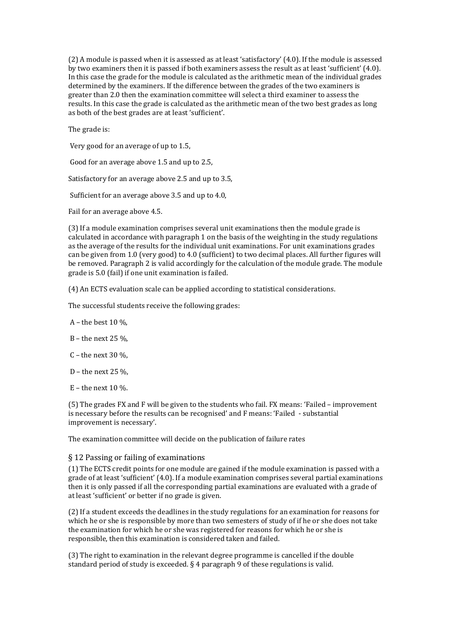(2) A module is passed when it is assessed as at least 'satisfactory' (4.0). If the module is assessed by two examiners then it is passed if both examiners assess the result as at least 'sufficient' (4.0). In this case the grade for the module is calculated as the arithmetic mean of the individual grades determined by the examiners. If the difference between the grades of the two examiners is greater than 2.0 then the examination committee will select a third examiner to assess the results. In this case the grade is calculated as the arithmetic mean of the two best grades as long as both of the best grades are at least 'sufficient'.

The grade is:

Very good for an average of up to 1.5,

Good for an average above 1.5 and up to 2.5,

Satisfactory for an average above 2.5 and up to 3.5,

Sufficient for an average above 3.5 and up to 4.0,

Fail for an average above 4.5.

(3) If a module examination comprises several unit examinations then the module grade is calculated in accordance with paragraph 1 on the basis of the weighting in the study regulations as the average of the results for the individual unit examinations. For unit examinations grades can be given from 1.0 (very good) to 4.0 (sufficient) to two decimal places. All further figures will be removed. Paragraph 2 is valid accordingly for the calculation of the module grade. The module grade is 5.0 (fail) if one unit examination is failed.

(4) An ECTS evaluation scale can be applied according to statistical considerations.

The successful students receive the following grades:

- A the best  $10\%$ .
- B the next 25 %,
- C the next 30  $\%$ ,
- D the next 25 %,
- E the next  $10\%$ .

(5) The grades FX and F will be given to the students who fail. FX means: 'Failed – improvement is necessary before the results can be recognised' and F means: 'Failed - substantial improvement is necessary'.

The examination committee will decide on the publication of failure rates

#### <span id="page-9-0"></span>§ 12 Passing or failing of examinations

(1) The ECTS credit points for one module are gained if the module examination is passed with a grade of at least 'sufficient' (4.0). If a module examination comprises several partial examinations then it is only passed if all the corresponding partial examinations are evaluated with a grade of at least 'sufficient' or better if no grade is given.

(2) If a student exceeds the deadlines in the study regulations for an examination for reasons for which he or she is responsible by more than two semesters of study of if he or she does not take the examination for which he or she was registered for reasons for which he or she is responsible, then this examination is considered taken and failed.

(3) The right to examination in the relevant degree programme is cancelled if the double standard period of study is exceeded. § 4 paragraph 9 of these regulations is valid.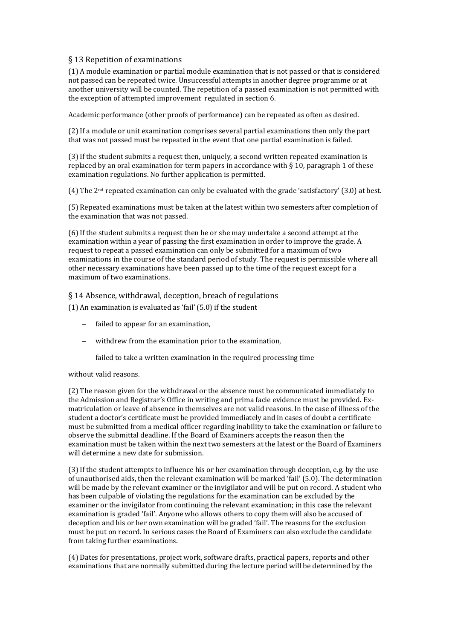## <span id="page-10-0"></span>§ 13 Repetition of examinations

(1) A module examination or partial module examination that is not passed or that is considered not passed can be repeated twice. Unsuccessful attempts in another degree programme or at another university will be counted. The repetition of a passed examination is not permitted with the exception of attempted improvement regulated in section 6.

Academic performance (other proofs of performance) can be repeated as often as desired.

(2) If a module or unit examination comprises several partial examinations then only the part that was not passed must be repeated in the event that one partial examination is failed.

(3) If the student submits a request then, uniquely, a second written repeated examination is replaced by an oral examination for term papers in accordance with  $\S$  10, paragraph 1 of these examination regulations. No further application is permitted.

(4) The 2nd repeated examination can only be evaluated with the grade 'satisfactory' (3.0) at best.

(5) Repeated examinations must be taken at the latest within two semesters after completion of the examination that was not passed.

(6) If the student submits a request then he or she may undertake a second attempt at the examination within a year of passing the first examination in order to improve the grade. A request to repeat a passed examination can only be submitted for a maximum of two examinations in the course of the standard period of study. The request is permissible where all other necessary examinations have been passed up to the time of the request except for a maximum of two examinations.

## <span id="page-10-1"></span>§ 14 Absence, withdrawal, deception, breach of regulations

(1) An examination is evaluated as 'fail' (5.0) if the student

- failed to appear for an examination,
- withdrew from the examination prior to the examination,
- failed to take a written examination in the required processing time

#### without valid reasons.

(2) The reason given for the withdrawal or the absence must be communicated immediately to the Admission and Registrar's Office in writing and prima facie evidence must be provided. Exmatriculation or leave of absence in themselves are not valid reasons. In the case of illness of the student a doctor's certificate must be provided immediately and in cases of doubt a certificate must be submitted from a medical officer regarding inability to take the examination or failure to observe the submittal deadline. If the Board of Examiners accepts the reason then the examination must be taken within the next two semesters at the latest or the Board of Examiners will determine a new date for submission.

(3) If the student attempts to influence his or her examination through deception, e.g. by the use of unauthorised aids, then the relevant examination will be marked 'fail' (5.0). The determination will be made by the relevant examiner or the invigilator and will be put on record. A student who has been culpable of violating the regulations for the examination can be excluded by the examiner or the invigilator from continuing the relevant examination; in this case the relevant examination is graded 'fail'. Anyone who allows others to copy them will also be accused of deception and his or her own examination will be graded 'fail'. The reasons for the exclusion must be put on record. In serious cases the Board of Examiners can also exclude the candidate from taking further examinations.

(4) Dates for presentations, project work, software drafts, practical papers, reports and other examinations that are normally submitted during the lecture period will be determined by the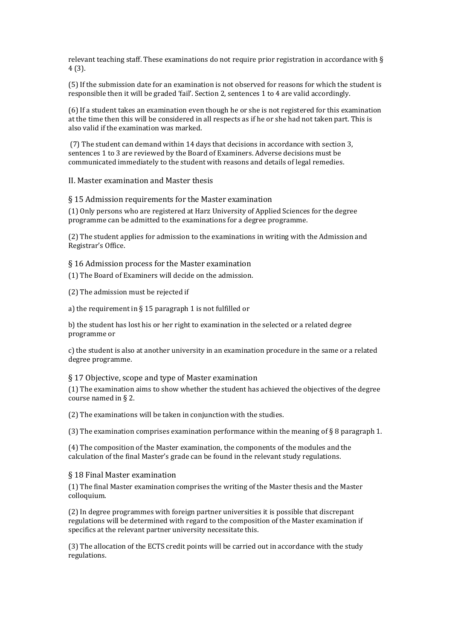relevant teaching staff. These examinations do not require prior registration in accordance with § 4 (3).

(5) If the submission date for an examination is not observed for reasons for which the student is responsible then it will be graded 'fail'. Section 2, sentences 1 to 4 are valid accordingly.

(6) If a student takes an examination even though he or she is not registered for this examination at the time then this will be considered in all respects as if he or she had not taken part. This is also valid if the examination was marked.

(7) The student can demand within 14 days that decisions in accordance with section 3, sentences 1 to 3 are reviewed by the Board of Examiners. Adverse decisions must be communicated immediately to the student with reasons and details of legal remedies.

<span id="page-11-0"></span>II. Master examination and Master thesis

<span id="page-11-1"></span>§ 15 Admission requirements for the Master examination

(1) Only persons who are registered at Harz University of Applied Sciences for the degree programme can be admitted to the examinations for a degree programme.

(2) The student applies for admission to the examinations in writing with the Admission and Registrar's Office.

<span id="page-11-2"></span>§ 16 Admission process for the Master examination

(1) The Board of Examiners will decide on the admission.

(2) The admission must be rejected if

a) the requirement in  $\S 15$  paragraph 1 is not fulfilled or

b) the student has lost his or her right to examination in the selected or a related degree programme or

c) the student is also at another university in an examination procedure in the same or a related degree programme.

## <span id="page-11-3"></span>§ 17 Objective, scope and type of Master examination

(1) The examination aims to show whether the student has achieved the objectives of the degree course named in § 2.

(2) The examinations will be taken in conjunction with the studies.

(3) The examination comprises examination performance within the meaning of  $\S$  8 paragraph 1.

(4) The composition of the Master examination, the components of the modules and the calculation of the final Master's grade can be found in the relevant study regulations.

#### <span id="page-11-4"></span>§ 18 Final Master examination

(1) The final Master examination comprises the writing of the Master thesis and the Master colloquium.

(2) In degree programmes with foreign partner universities it is possible that discrepant regulations will be determined with regard to the composition of the Master examination if specifics at the relevant partner university necessitate this.

(3) The allocation of the ECTS credit points will be carried out in accordance with the study regulations.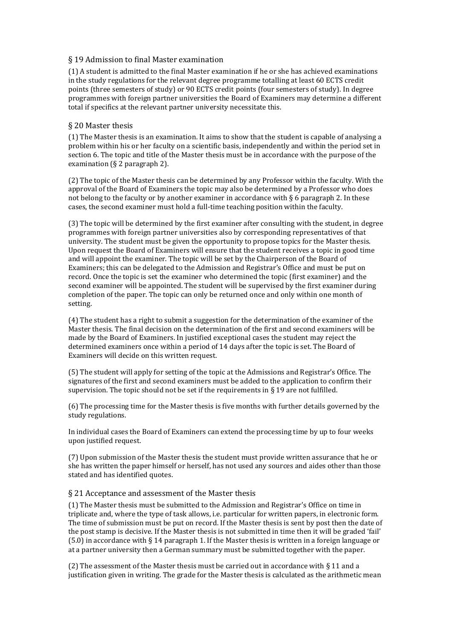## <span id="page-12-0"></span>§ 19 Admission to final Master examination

(1) A student is admitted to the final Master examination if he or she has achieved examinations in the study regulations for the relevant degree programme totalling at least 60 ECTS credit points (three semesters of study) or 90 ECTS credit points (four semesters of study). In degree programmes with foreign partner universities the Board of Examiners may determine a different total if specifics at the relevant partner university necessitate this.

## <span id="page-12-1"></span>§ 20 Master thesis

(1) The Master thesis is an examination. It aims to show that the student is capable of analysing a problem within his or her faculty on a scientific basis, independently and within the period set in section 6. The topic and title of the Master thesis must be in accordance with the purpose of the examination (§ 2 paragraph 2).

(2) The topic of the Master thesis can be determined by any Professor within the faculty. With the approval of the Board of Examiners the topic may also be determined by a Professor who does not belong to the faculty or by another examiner in accordance with  $\S 6$  paragraph 2. In these cases, the second examiner must hold a full-time teaching position within the faculty.

(3) The topic will be determined by the first examiner after consulting with the student, in degree programmes with foreign partner universities also by corresponding representatives of that university. The student must be given the opportunity to propose topics for the Master thesis. Upon request the Board of Examiners will ensure that the student receives a topic in good time and will appoint the examiner. The topic will be set by the Chairperson of the Board of Examiners; this can be delegated to the Admission and Registrar's Office and must be put on record. Once the topic is set the examiner who determined the topic (first examiner) and the second examiner will be appointed. The student will be supervised by the first examiner during completion of the paper. The topic can only be returned once and only within one month of setting.

(4) The student has a right to submit a suggestion for the determination of the examiner of the Master thesis. The final decision on the determination of the first and second examiners will be made by the Board of Examiners. In justified exceptional cases the student may reject the determined examiners once within a period of 14 days after the topic is set. The Board of Examiners will decide on this written request.

(5) The student will apply for setting of the topic at the Admissions and Registrar's Office. The signatures of the first and second examiners must be added to the application to confirm their supervision. The topic should not be set if the requirements in § 19 are not fulfilled.

(6) The processing time for the Master thesis is five months with further details governed by the study regulations.

In individual cases the Board of Examiners can extend the processing time by up to four weeks upon justified request.

(7) Upon submission of the Master thesis the student must provide written assurance that he or she has written the paper himself or herself, has not used any sources and aides other than those stated and has identified quotes.

## <span id="page-12-2"></span>§ 21 Acceptance and assessment of the Master thesis

(1) The Master thesis must be submitted to the Admission and Registrar's Office on time in triplicate and, where the type of task allows, i.e. particular for written papers, in electronic form. The time of submission must be put on record. If the Master thesis is sent by post then the date of the post stamp is decisive. If the Master thesis is not submitted in time then it will be graded 'fail' (5.0) in accordance with § 14 paragraph 1. If the Master thesis is written in a foreign language or at a partner university then a German summary must be submitted together with the paper.

(2) The assessment of the Master thesis must be carried out in accordance with  $\S 11$  and a justification given in writing. The grade for the Master thesis is calculated as the arithmetic mean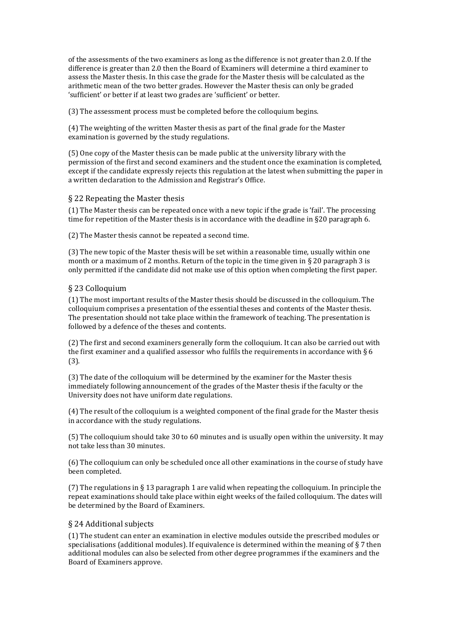of the assessments of the two examiners as long as the difference is not greater than 2.0. If the difference is greater than 2.0 then the Board of Examiners will determine a third examiner to assess the Master thesis. In this case the grade for the Master thesis will be calculated as the arithmetic mean of the two better grades. However the Master thesis can only be graded 'sufficient' or better if at least two grades are 'sufficient' or better.

(3) The assessment process must be completed before the colloquium begins.

(4) The weighting of the written Master thesis as part of the final grade for the Master examination is governed by the study regulations.

(5) One copy of the Master thesis can be made public at the university library with the permission of the first and second examiners and the student once the examination is completed, except if the candidate expressly rejects this regulation at the latest when submitting the paper in a written declaration to the Admission and Registrar's Office.

#### <span id="page-13-0"></span>§ 22 Repeating the Master thesis

(1) The Master thesis can be repeated once with a new topic if the grade is 'fail'. The processing time for repetition of the Master thesis is in accordance with the deadline in §20 paragraph 6.

(2) The Master thesis cannot be repeated a second time.

(3) The new topic of the Master thesis will be set within a reasonable time, usually within one month or a maximum of 2 months. Return of the topic in the time given in § 20 paragraph 3 is only permitted if the candidate did not make use of this option when completing the first paper.

#### <span id="page-13-1"></span>§ 23 Colloquium

(1) The most important results of the Master thesis should be discussed in the colloquium. The colloquium comprises a presentation of the essential theses and contents of the Master thesis. The presentation should not take place within the framework of teaching. The presentation is followed by a defence of the theses and contents.

(2) The first and second examiners generally form the colloquium. It can also be carried out with the first examiner and a qualified assessor who fulfils the requirements in accordance with § 6 (3).

(3) The date of the colloquium will be determined by the examiner for the Master thesis immediately following announcement of the grades of the Master thesis if the faculty or the University does not have uniform date regulations.

(4) The result of the colloquium is a weighted component of the final grade for the Master thesis in accordance with the study regulations.

(5) The colloquium should take 30 to 60 minutes and is usually open within the university. It may not take less than 30 minutes.

(6) The colloquium can only be scheduled once all other examinations in the course of study have been completed.

(7) The regulations in § 13 paragraph 1 are valid when repeating the colloquium. In principle the repeat examinations should take place within eight weeks of the failed colloquium. The dates will be determined by the Board of Examiners.

#### <span id="page-13-2"></span>§ 24 Additional subjects

(1) The student can enter an examination in elective modules outside the prescribed modules or specialisations (additional modules). If equivalence is determined within the meaning of  $\S 7$  then additional modules can also be selected from other degree programmes if the examiners and the Board of Examiners approve.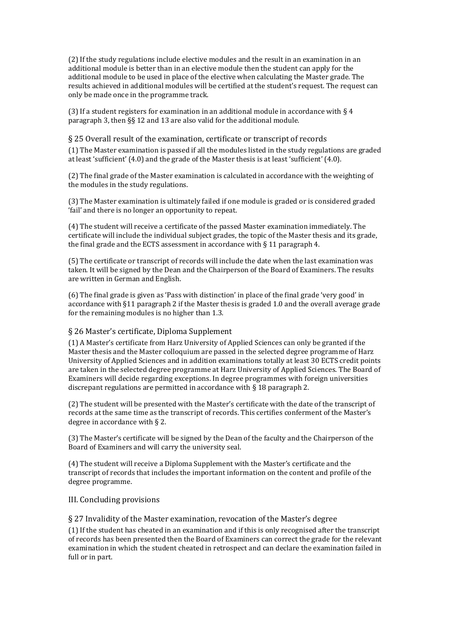(2) If the study regulations include elective modules and the result in an examination in an additional module is better than in an elective module then the student can apply for the additional module to be used in place of the elective when calculating the Master grade. The results achieved in additional modules will be certified at the student's request. The request can only be made once in the programme track.

(3) If a student registers for examination in an additional module in accordance with  $\S 4$ paragraph 3, then §§ 12 and 13 are also valid for the additional module.

<span id="page-14-0"></span>§ 25 Overall result of the examination, certificate or transcript of records

(1) The Master examination is passed if all the modules listed in the study regulations are graded at least 'sufficient' (4.0) and the grade of the Master thesis is at least 'sufficient' (4.0).

(2) The final grade of the Master examination is calculated in accordance with the weighting of the modules in the study regulations.

(3) The Master examination is ultimately failed if one module is graded or is considered graded 'fail' and there is no longer an opportunity to repeat.

(4) The student will receive a certificate of the passed Master examination immediately. The certificate will include the individual subject grades, the topic of the Master thesis and its grade, the final grade and the ECTS assessment in accordance with § 11 paragraph 4.

(5) The certificate or transcript of records will include the date when the last examination was taken. It will be signed by the Dean and the Chairperson of the Board of Examiners. The results are written in German and English.

(6) The final grade is given as 'Pass with distinction' in place of the final grade 'very good' in accordance with §11 paragraph 2 if the Master thesis is graded 1.0 and the overall average grade for the remaining modules is no higher than 1.3.

#### <span id="page-14-1"></span>§ 26 Master's certificate, Diploma Supplement

(1) A Master's certificate from Harz University of Applied Sciences can only be granted if the Master thesis and the Master colloquium are passed in the selected degree programme of Harz University of Applied Sciences and in addition examinations totally at least 30 ECTS credit points are taken in the selected degree programme at Harz University of Applied Sciences. The Board of Examiners will decide regarding exceptions. In degree programmes with foreign universities discrepant regulations are permitted in accordance with § 18 paragraph 2.

(2) The student will be presented with the Master's certificate with the date of the transcript of records at the same time as the transcript of records. This certifies conferment of the Master's degree in accordance with § 2.

(3) The Master's certificate will be signed by the Dean of the faculty and the Chairperson of the Board of Examiners and will carry the university seal.

(4) The student will receive a Diploma Supplement with the Master's certificate and the transcript of records that includes the important information on the content and profile of the degree programme.

#### <span id="page-14-2"></span>III. Concluding provisions

<span id="page-14-3"></span>§ 27 Invalidity of the Master examination, revocation of the Master's degree

(1) If the student has cheated in an examination and if this is only recognised after the transcript of records has been presented then the Board of Examiners can correct the grade for the relevant examination in which the student cheated in retrospect and can declare the examination failed in full or in part.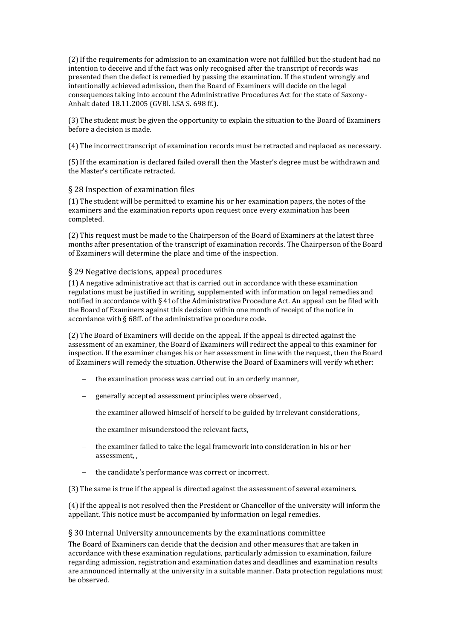(2) If the requirements for admission to an examination were not fulfilled but the student had no intention to deceive and if the fact was only recognised after the transcript of records was presented then the defect is remedied by passing the examination. If the student wrongly and intentionally achieved admission, then the Board of Examiners will decide on the legal consequences taking into account the Administrative Procedures Act for the state of Saxony-Anhalt dated 18.11.2005 (GVBl. LSA S. 698 ff.).

(3) The student must be given the opportunity to explain the situation to the Board of Examiners before a decision is made.

(4) The incorrect transcript of examination records must be retracted and replaced as necessary.

(5) If the examination is declared failed overall then the Master's degree must be withdrawn and the Master's certificate retracted.

#### <span id="page-15-0"></span>§ 28 Inspection of examination files

(1) The student will be permitted to examine his or her examination papers, the notes of the examiners and the examination reports upon request once every examination has been completed.

(2) This request must be made to the Chairperson of the Board of Examiners at the latest three months after presentation of the transcript of examination records. The Chairperson of the Board of Examiners will determine the place and time of the inspection.

## <span id="page-15-1"></span>§ 29 Negative decisions, appeal procedures

(1) A negative administrative act that is carried out in accordance with these examination regulations must be justified in writing, supplemented with information on legal remedies and notified in accordance with § 41of the Administrative Procedure Act. An appeal can be filed with the Board of Examiners against this decision within one month of receipt of the notice in accordance with § 68ff. of the administrative procedure code.

(2) The Board of Examiners will decide on the appeal. If the appeal is directed against the assessment of an examiner, the Board of Examiners will redirect the appeal to this examiner for inspection. If the examiner changes his or her assessment in line with the request, then the Board of Examiners will remedy the situation. Otherwise the Board of Examiners will verify whether:

- the examination process was carried out in an orderly manner,
- generally accepted assessment principles were observed,
- the examiner allowed himself of herself to be guided by irrelevant considerations,
- the examiner misunderstood the relevant facts,
- the examiner failed to take the legal framework into consideration in his or her assessment, ,
- the candidate's performance was correct or incorrect.
- (3) The same is true if the appeal is directed against the assessment of several examiners.

(4) If the appeal is not resolved then the President or Chancellor of the university will inform the appellant. This notice must be accompanied by information on legal remedies.

#### <span id="page-15-2"></span>§ 30 Internal University announcements by the examinations committee

The Board of Examiners can decide that the decision and other measures that are taken in accordance with these examination regulations, particularly admission to examination, failure regarding admission, registration and examination dates and deadlines and examination results are announced internally at the university in a suitable manner. Data protection regulations must be observed.